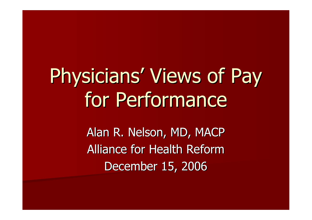# Physicians' Views of Pay for Performance

Alan R. Nelson, MD, MACP Alliance for Health Reform December 15, 2006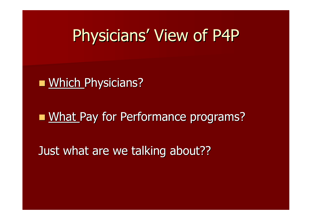#### Physicians' View of P4P

**NHich Physicians?** 

#### **NAT Pay for Performance programs?**

Just what are we talking about??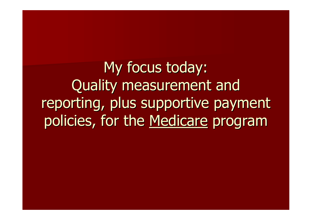My focus today: Quality measurement and reporting, plus supportive payment policies, for the Medicare program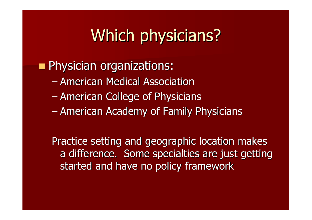## Which physicians?

**Physician organizations:** 

- American Medical Association
- American College of Physicians
- American Academy of Family Physicians

Practice setting and geographic location makes a difference. Some specialties are just getting started and have no policy framework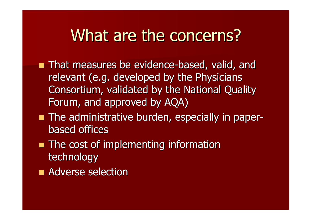#### What are the concerns?

- **That measures be evidence-based, valid, and** relevant (e.g. developed by the Physicians Consortium, validated by the National Quality Forum, and approved by AQA)
- **The administrative burden, especially in paper**based offices
- **The cost of implementing information** technology
- **Adverse selection**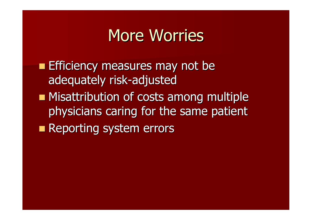#### More Worries

**Efficiency measures may not be** adequately risk-adjusted

- **Misattribution of costs among multiple** physicians caring for the same patient
- **Reporting system errors**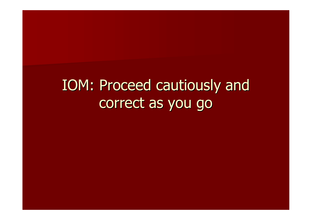### IOM: Proceed cautiously and correct as you go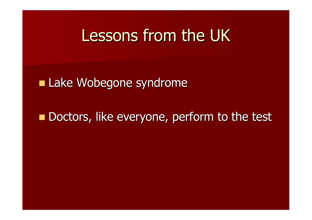#### Lessons from the UK

**Lake Wobegone syndrome** 

Doctors, like everyone, perform to the test